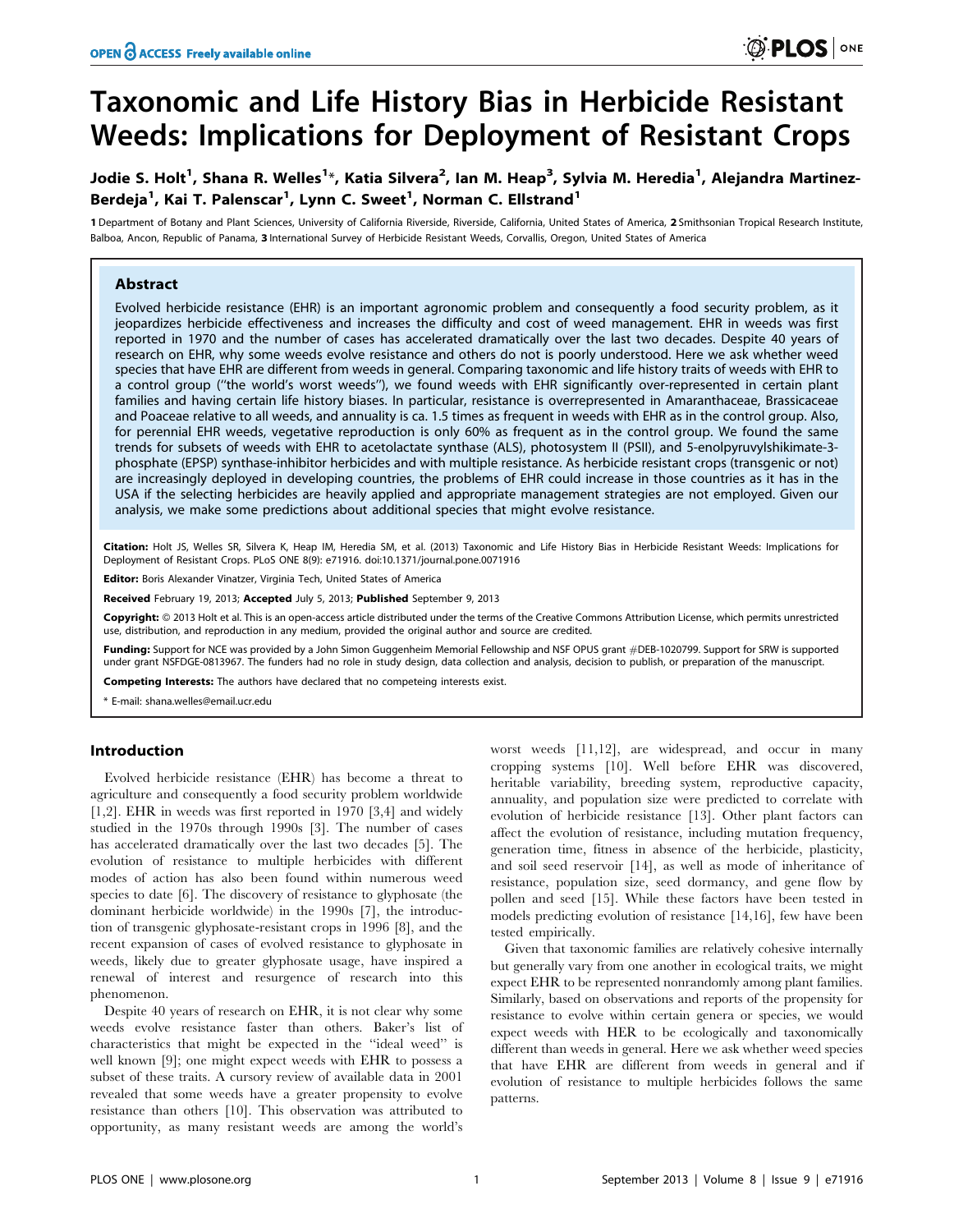# Taxonomic and Life History Bias in Herbicide Resistant Weeds: Implications for Deployment of Resistant Crops

# Jodie S. Holt<sup>1</sup>, Shana R. Welles<sup>1</sup>\*, Katia Silvera<sup>2</sup>, Ian M. Heap<sup>3</sup>, Sylvia M. Heredia<sup>1</sup>, Alejandra Martinez-Berdeja<sup>1</sup>, Kai T. Palenscar<sup>1</sup>, Lynn C. Sweet<sup>1</sup>, Norman C. Ellstrand<sup>1</sup>

1 Department of Botany and Plant Sciences, University of California Riverside, Riverside, California, United States of America, 2 Smithsonian Tropical Research Institute, Balboa, Ancon, Republic of Panama, 3 International Survey of Herbicide Resistant Weeds, Corvallis, Oregon, United States of America

# Abstract

Evolved herbicide resistance (EHR) is an important agronomic problem and consequently a food security problem, as it jeopardizes herbicide effectiveness and increases the difficulty and cost of weed management. EHR in weeds was first reported in 1970 and the number of cases has accelerated dramatically over the last two decades. Despite 40 years of research on EHR, why some weeds evolve resistance and others do not is poorly understood. Here we ask whether weed species that have EHR are different from weeds in general. Comparing taxonomic and life history traits of weeds with EHR to a control group (''the world's worst weeds''), we found weeds with EHR significantly over-represented in certain plant families and having certain life history biases. In particular, resistance is overrepresented in Amaranthaceae, Brassicaceae and Poaceae relative to all weeds, and annuality is ca. 1.5 times as frequent in weeds with EHR as in the control group. Also, for perennial EHR weeds, vegetative reproduction is only 60% as frequent as in the control group. We found the same trends for subsets of weeds with EHR to acetolactate synthase (ALS), photosystem II (PSII), and 5-enolpyruvylshikimate-3 phosphate (EPSP) synthase-inhibitor herbicides and with multiple resistance. As herbicide resistant crops (transgenic or not) are increasingly deployed in developing countries, the problems of EHR could increase in those countries as it has in the USA if the selecting herbicides are heavily applied and appropriate management strategies are not employed. Given our analysis, we make some predictions about additional species that might evolve resistance.

Citation: Holt JS, Welles SR, Silvera K, Heap IM, Heredia SM, et al. (2013) Taxonomic and Life History Bias in Herbicide Resistant Weeds: Implications for Deployment of Resistant Crops. PLoS ONE 8(9): e71916. doi:10.1371/journal.pone.0071916

Editor: Boris Alexander Vinatzer, Virginia Tech, United States of America

Received February 19, 2013; Accepted July 5, 2013; Published September 9, 2013

**Copyright:** © 2013 Holt et al. This is an open-access article distributed under the terms of the Creative Commons Attribution License, which permits unrestricted use, distribution, and reproduction in any medium, provided the original author and source are credited.

**Funding:** Support for NCE was provided by a John Simon Guggenheim Memorial Fellowship and NSF OPUS grant #DEB-1020799. Support for SRW is supported<br>under grant NSFDGE-0813967. The funders had no role in study design, data

Competing Interests: The authors have declared that no competeing interests exist.

\* E-mail: shana.welles@email.ucr.edu

## Introduction

Evolved herbicide resistance (EHR) has become a threat to agriculture and consequently a food security problem worldwide [1,2]. EHR in weeds was first reported in 1970 [3,4] and widely studied in the 1970s through 1990s [3]. The number of cases has accelerated dramatically over the last two decades [5]. The evolution of resistance to multiple herbicides with different modes of action has also been found within numerous weed species to date [6]. The discovery of resistance to glyphosate (the dominant herbicide worldwide) in the 1990s [7], the introduction of transgenic glyphosate-resistant crops in 1996 [8], and the recent expansion of cases of evolved resistance to glyphosate in weeds, likely due to greater glyphosate usage, have inspired a renewal of interest and resurgence of research into this phenomenon.

Despite 40 years of research on EHR, it is not clear why some weeds evolve resistance faster than others. Baker's list of characteristics that might be expected in the ''ideal weed'' is well known [9]; one might expect weeds with EHR to possess a subset of these traits. A cursory review of available data in 2001 revealed that some weeds have a greater propensity to evolve resistance than others [10]. This observation was attributed to opportunity, as many resistant weeds are among the world's

worst weeds [11,12], are widespread, and occur in many cropping systems [10]. Well before EHR was discovered, heritable variability, breeding system, reproductive capacity, annuality, and population size were predicted to correlate with evolution of herbicide resistance [13]. Other plant factors can affect the evolution of resistance, including mutation frequency, generation time, fitness in absence of the herbicide, plasticity, and soil seed reservoir [14], as well as mode of inheritance of resistance, population size, seed dormancy, and gene flow by pollen and seed [15]. While these factors have been tested in models predicting evolution of resistance [14,16], few have been tested empirically.

Given that taxonomic families are relatively cohesive internally but generally vary from one another in ecological traits, we might expect EHR to be represented nonrandomly among plant families. Similarly, based on observations and reports of the propensity for resistance to evolve within certain genera or species, we would expect weeds with HER to be ecologically and taxonomically different than weeds in general. Here we ask whether weed species that have EHR are different from weeds in general and if evolution of resistance to multiple herbicides follows the same patterns.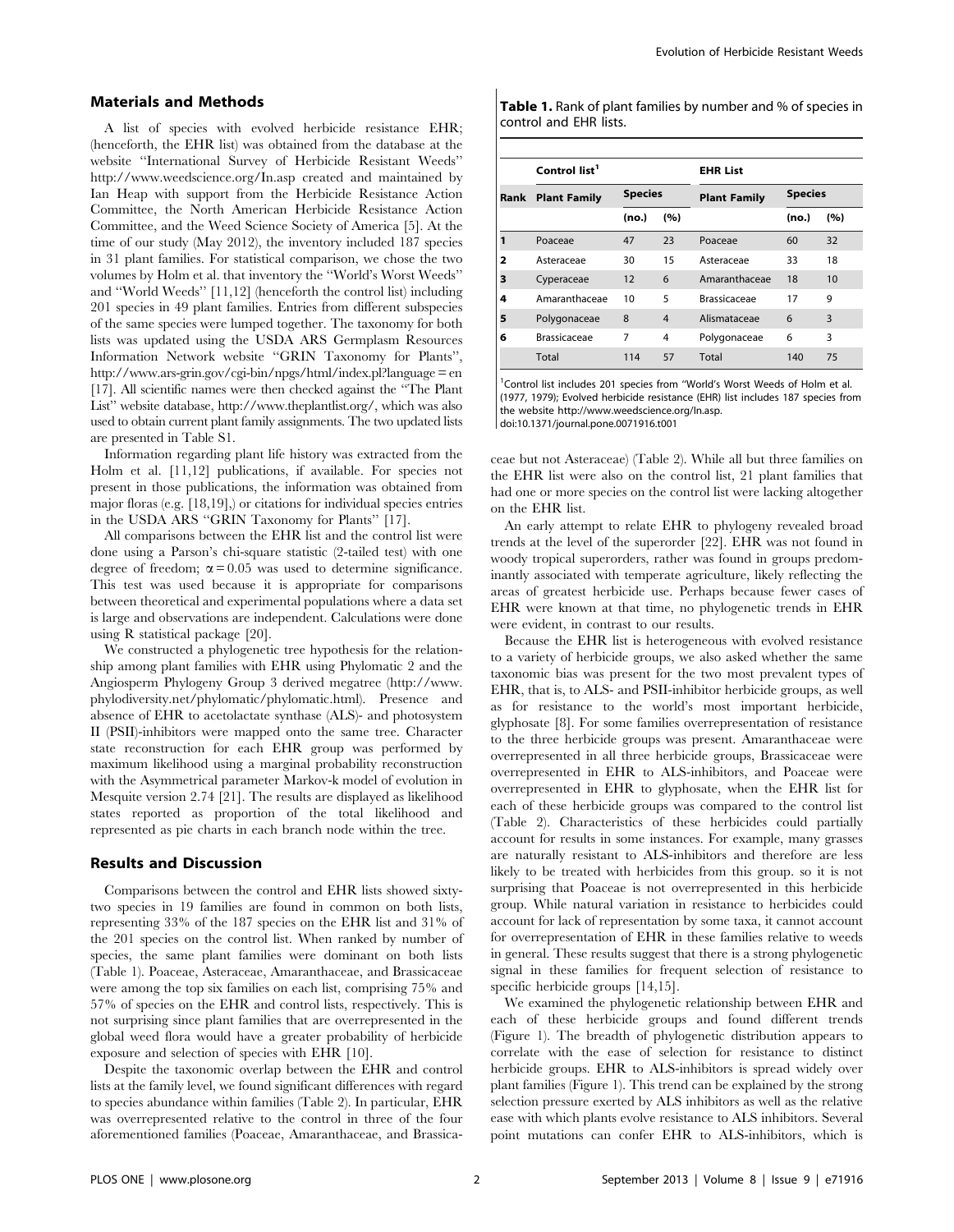#### Materials and Methods

A list of species with evolved herbicide resistance EHR; (henceforth, the EHR list) was obtained from the database at the website ''International Survey of Herbicide Resistant Weeds'' http://www.weedscience.org/In.asp created and maintained by Ian Heap with support from the Herbicide Resistance Action Committee, the North American Herbicide Resistance Action Committee, and the Weed Science Society of America [5]. At the time of our study (May 2012), the inventory included 187 species in 31 plant families. For statistical comparison, we chose the two volumes by Holm et al. that inventory the ''World's Worst Weeds'' and ''World Weeds'' [11,12] (henceforth the control list) including 201 species in 49 plant families. Entries from different subspecies of the same species were lumped together. The taxonomy for both lists was updated using the USDA ARS Germplasm Resources Information Network website ''GRIN Taxonomy for Plants'', http://www.ars-grin.gov/cgi-bin/npgs/html/index.pl?language = en [17]. All scientific names were then checked against the ''The Plant List'' website database, http://www.theplantlist.org/, which was also used to obtain current plant family assignments. The two updated lists are presented in Table S1.

Information regarding plant life history was extracted from the Holm et al. [11,12] publications, if available. For species not present in those publications, the information was obtained from major floras (e.g. [18,19],) or citations for individual species entries in the USDA ARS ''GRIN Taxonomy for Plants'' [17].

All comparisons between the EHR list and the control list were done using a Parson's chi-square statistic (2-tailed test) with one degree of freedom;  $\alpha = 0.05$  was used to determine significance. This test was used because it is appropriate for comparisons between theoretical and experimental populations where a data set is large and observations are independent. Calculations were done using R statistical package [20].

We constructed a phylogenetic tree hypothesis for the relationship among plant families with EHR using Phylomatic 2 and the Angiosperm Phylogeny Group 3 derived megatree (http://www. phylodiversity.net/phylomatic/phylomatic.html). Presence and absence of EHR to acetolactate synthase (ALS)- and photosystem II (PSII)-inhibitors were mapped onto the same tree. Character state reconstruction for each EHR group was performed by maximum likelihood using a marginal probability reconstruction with the Asymmetrical parameter Markov-k model of evolution in Mesquite version 2.74 [21]. The results are displayed as likelihood states reported as proportion of the total likelihood and represented as pie charts in each branch node within the tree.

# Results and Discussion

Comparisons between the control and EHR lists showed sixtytwo species in 19 families are found in common on both lists, representing 33% of the 187 species on the EHR list and 31% of the 201 species on the control list. When ranked by number of species, the same plant families were dominant on both lists (Table 1). Poaceae, Asteraceae, Amaranthaceae, and Brassicaceae were among the top six families on each list, comprising 75% and 57% of species on the EHR and control lists, respectively. This is not surprising since plant families that are overrepresented in the global weed flora would have a greater probability of herbicide exposure and selection of species with EHR [10].

Despite the taxonomic overlap between the EHR and control lists at the family level, we found significant differences with regard to species abundance within families (Table 2). In particular, EHR was overrepresented relative to the control in three of the four aforementioned families (Poaceae, Amaranthaceae, and BrassicaTable 1. Rank of plant families by number and % of species in control and EHR lists.

|   | Control list <sup>1</sup> |                |                | <b>EHR List</b>     |                |     |  |
|---|---------------------------|----------------|----------------|---------------------|----------------|-----|--|
|   | <b>Rank Plant Family</b>  | <b>Species</b> |                | <b>Plant Family</b> | <b>Species</b> |     |  |
|   |                           | (no.)          | (%)            |                     | (no.)          | (%) |  |
| 1 | Poaceae                   | 47             | 23             | Poaceae             | 60             | 32  |  |
| 2 | Asteraceae                | 30             | 15             | Asteraceae          | 33             | 18  |  |
| з | Cyperaceae                | 12             | 6              | Amaranthaceae       | 18             | 10  |  |
| 4 | Amaranthaceae             | 10             | 5              | <b>Brassicaceae</b> | 17             | 9   |  |
| 5 | Polygonaceae              | 8              | $\overline{4}$ | Alismataceae        | 6              | 3   |  |
| 6 | <b>Brassicaceae</b>       | 7              | 4              | Polygonaceae        | 6              | 3   |  |
|   | Total                     | 114            | 57             | Total               | 140            | 75  |  |

<sup>1</sup> Control list includes 201 species from "World's Worst Weeds of Holm et al. (1977, 1979); Evolved herbicide resistance (EHR) list includes 187 species from the website http://www.weedscience.org/In.asp. doi:10.1371/journal.pone.0071916.t001

ceae but not Asteraceae) (Table 2). While all but three families on the EHR list were also on the control list, 21 plant families that had one or more species on the control list were lacking altogether on the EHR list.

An early attempt to relate EHR to phylogeny revealed broad trends at the level of the superorder [22]. EHR was not found in woody tropical superorders, rather was found in groups predominantly associated with temperate agriculture, likely reflecting the areas of greatest herbicide use. Perhaps because fewer cases of EHR were known at that time, no phylogenetic trends in EHR were evident, in contrast to our results.

Because the EHR list is heterogeneous with evolved resistance to a variety of herbicide groups, we also asked whether the same taxonomic bias was present for the two most prevalent types of EHR, that is, to ALS- and PSII-inhibitor herbicide groups, as well as for resistance to the world's most important herbicide, glyphosate [8]. For some families overrepresentation of resistance to the three herbicide groups was present. Amaranthaceae were overrepresented in all three herbicide groups, Brassicaceae were overrepresented in EHR to ALS-inhibitors, and Poaceae were overrepresented in EHR to glyphosate, when the EHR list for each of these herbicide groups was compared to the control list (Table 2). Characteristics of these herbicides could partially account for results in some instances. For example, many grasses are naturally resistant to ALS-inhibitors and therefore are less likely to be treated with herbicides from this group. so it is not surprising that Poaceae is not overrepresented in this herbicide group. While natural variation in resistance to herbicides could account for lack of representation by some taxa, it cannot account for overrepresentation of EHR in these families relative to weeds in general. These results suggest that there is a strong phylogenetic signal in these families for frequent selection of resistance to specific herbicide groups [14,15].

We examined the phylogenetic relationship between EHR and each of these herbicide groups and found different trends (Figure 1). The breadth of phylogenetic distribution appears to correlate with the ease of selection for resistance to distinct herbicide groups. EHR to ALS-inhibitors is spread widely over plant families (Figure 1). This trend can be explained by the strong selection pressure exerted by ALS inhibitors as well as the relative ease with which plants evolve resistance to ALS inhibitors. Several point mutations can confer EHR to ALS-inhibitors, which is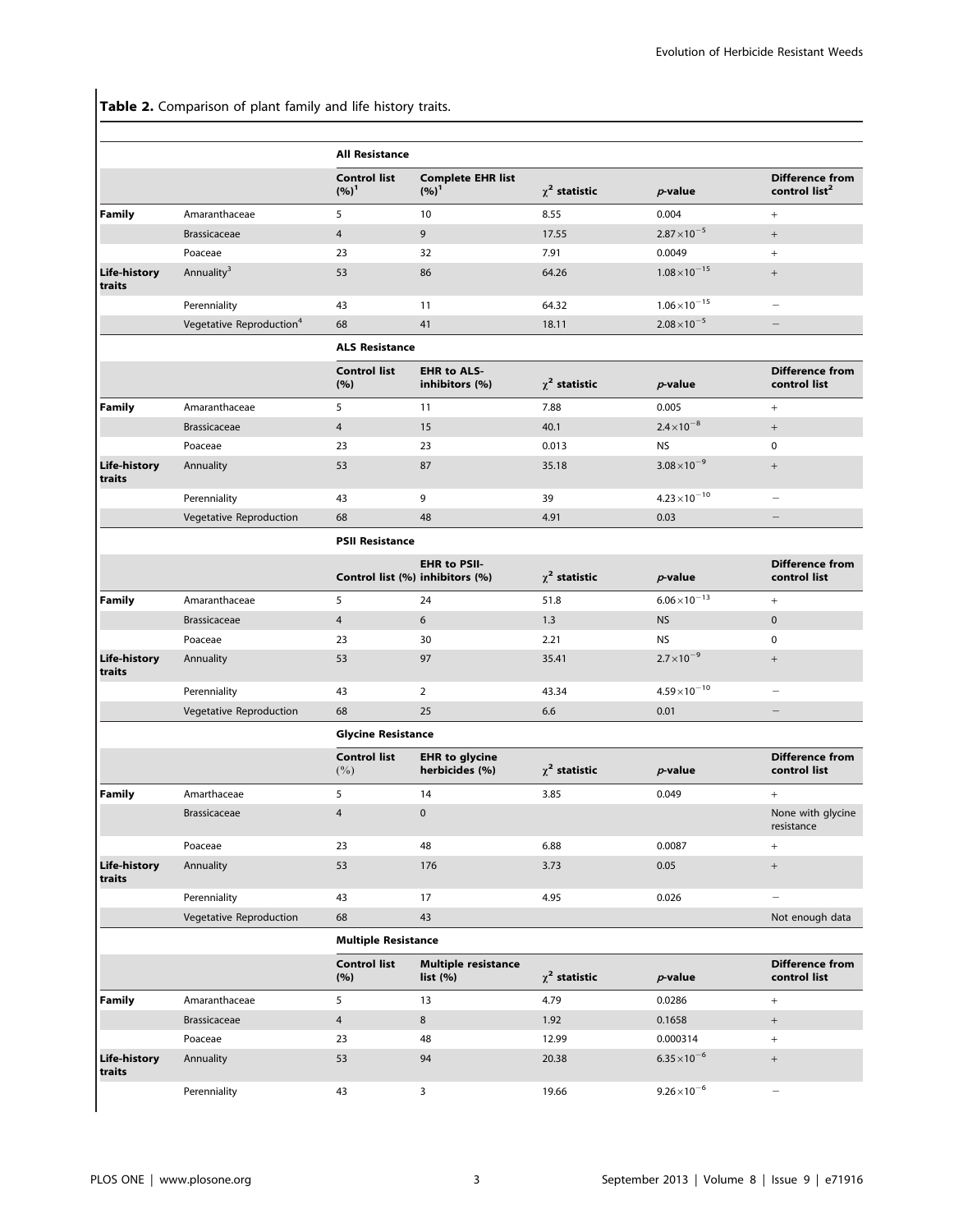Table 2. Comparison of plant family and life history traits.

|                        |                                      | <b>All Resistance</b>           |                                          |                    |                        |                                                     |  |  |
|------------------------|--------------------------------------|---------------------------------|------------------------------------------|--------------------|------------------------|-----------------------------------------------------|--|--|
|                        |                                      | <b>Control list</b><br>$(%)^1$  | <b>Complete EHR list</b><br>$(%)^1$      | $\chi^2$ statistic | $p$ -value             | <b>Difference from</b><br>control list <sup>2</sup> |  |  |
| <b>Family</b>          | Amaranthaceae                        | 5                               | 10                                       | 8.55               | 0.004                  | $+$                                                 |  |  |
|                        | <b>Brassicaceae</b>                  | $\overline{4}$                  | 9                                        | 17.55              | $2.87 \times 10^{-5}$  | $^{+}$                                              |  |  |
|                        | Poaceae                              | 23                              | 32                                       | 7.91               | 0.0049                 | $+$                                                 |  |  |
| Life-history<br>traits | Annuality <sup>3</sup>               | 53                              | 86                                       | 64.26              | $1.08\times10^{-15}$   | $+$                                                 |  |  |
|                        | Perenniality                         | 43                              | 11                                       | 64.32              | $1.06 \times 10^{-15}$ | ÷                                                   |  |  |
|                        | Vegetative Reproduction <sup>4</sup> | 68                              | 41                                       | 18.11              | $2.08\times10^{-5}$    | $\qquad \qquad -$                                   |  |  |
|                        |                                      | <b>ALS Resistance</b>           |                                          |                    |                        |                                                     |  |  |
|                        |                                      | <b>Control list</b><br>(%)      | <b>EHR to ALS-</b><br>inhibitors (%)     | $\chi^2$ statistic | $p$ -value             | <b>Difference from</b><br>control list              |  |  |
| <b>Family</b>          | Amaranthaceae                        | 5                               | 11                                       | 7.88               | 0.005                  | $+$                                                 |  |  |
|                        | <b>Brassicaceae</b>                  | $\overline{4}$                  | 15                                       | 40.1               | $2.4 \times 10^{-8}$   | $\qquad \qquad +$                                   |  |  |
|                        | Poaceae                              | 23                              | 23                                       | 0.013              | <b>NS</b>              | $\mathbf 0$                                         |  |  |
| Life-history<br>traits | Annuality                            | 53                              | 87                                       | 35.18              | $3.08 \times 10^{-9}$  | $\qquad \qquad +$                                   |  |  |
|                        | Perenniality                         | 43                              | 9                                        | 39                 | $4.23 \times 10^{-10}$ | $\overline{\phantom{0}}$                            |  |  |
|                        | Vegetative Reproduction              | 68                              | 48                                       | 4.91               | 0.03                   |                                                     |  |  |
|                        |                                      | <b>PSII Resistance</b>          |                                          |                    |                        |                                                     |  |  |
|                        |                                      | Control list (%) inhibitors (%) | <b>EHR to PSII-</b>                      | $\chi^2$ statistic | $p$ -value             | Difference from<br>control list                     |  |  |
| <b>Family</b>          | Amaranthaceae                        | 5                               | 24                                       | 51.8               | $6.06 \times 10^{-13}$ | $+$                                                 |  |  |
|                        | <b>Brassicaceae</b>                  | $\overline{4}$                  | 6                                        | 1.3                | <b>NS</b>              | $\mathbf{0}$                                        |  |  |
|                        | Poaceae                              | 23                              | 30                                       | 2.21               | <b>NS</b>              | 0                                                   |  |  |
| Life-history<br>traits | Annuality                            | 53                              | 97                                       | 35.41              | $2.7\times10^{-9}$     | $^{+}$                                              |  |  |
|                        | Perenniality                         | 43                              | $\overline{2}$                           | 43.34              | $4.59 \times 10^{-10}$ | $\overline{\phantom{a}}$                            |  |  |
|                        | Vegetative Reproduction              | 68                              | 25                                       | 6.6                | 0.01                   |                                                     |  |  |
|                        |                                      | <b>Glycine Resistance</b>       |                                          |                    |                        |                                                     |  |  |
|                        |                                      | <b>Control list</b><br>$(\%)$   | <b>EHR</b> to glycine<br>herbicides (%)  | $\chi^2$ statistic | $p$ -value             | <b>Difference from</b><br>control list              |  |  |
| <b>Family</b>          | Amarthaceae                          | 5                               | 14                                       | 3.85               | 0.049                  | $+$                                                 |  |  |
|                        | <b>Brassicaceae</b>                  | $\overline{4}$                  | $\pmb{0}$                                |                    |                        | None with glycine<br>resistance                     |  |  |
|                        | Poaceae                              | 23                              | 48                                       | 6.88               | 0.0087                 | $^+$                                                |  |  |
| Life-history<br>traits | Annuality                            | 53                              | 176                                      | 3.73               | 0.05                   | $^+$                                                |  |  |
|                        | Perenniality                         | 43                              | 17                                       | 4.95               | 0.026                  | $\qquad \qquad -$                                   |  |  |
|                        | Vegetative Reproduction              | 68                              | 43                                       |                    |                        | Not enough data                                     |  |  |
|                        |                                      | <b>Multiple Resistance</b>      |                                          |                    |                        |                                                     |  |  |
|                        |                                      | <b>Control list</b><br>(%)      | <b>Multiple resistance</b><br>list $(%)$ | $\chi^2$ statistic | $p$ -value             | Difference from<br>control list                     |  |  |
| <b>Family</b>          | Amaranthaceae                        | 5                               | 13                                       | 4.79               | 0.0286                 | $+$                                                 |  |  |
|                        | <b>Brassicaceae</b>                  | $\overline{4}$                  | 8                                        | 1.92               | 0.1658                 | $\qquad \qquad +$                                   |  |  |
|                        | Poaceae                              | 23                              | 48                                       | 12.99              | 0.000314               | $+$                                                 |  |  |
| Life-history<br>traits | Annuality                            | 53                              | 94                                       | 20.38              | $6.35 \times 10^{-6}$  | $^{+}$                                              |  |  |
|                        | Perenniality                         | 43                              | 3                                        | 19.66              | $9.26 \times 10^{-6}$  | $\overline{\phantom{0}}$                            |  |  |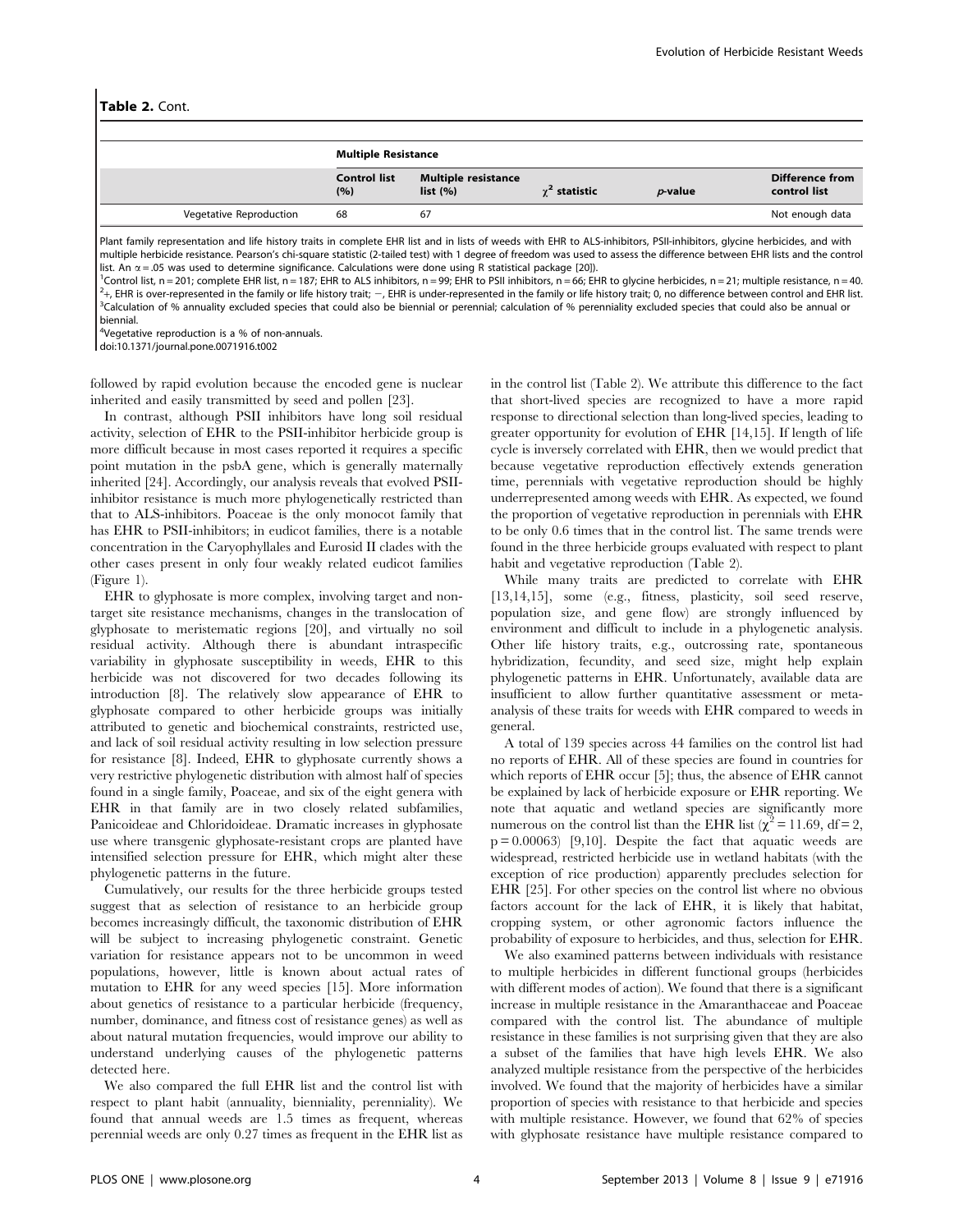|                         | <b>Multiple Resistance</b> |                                       |                      |                |                                        |  |
|-------------------------|----------------------------|---------------------------------------|----------------------|----------------|----------------------------------------|--|
|                         | <b>Control list</b><br>(%) | <b>Multiple resistance</b><br>list(%) | $\gamma^2$ statistic | $\n  p$ -value | <b>Difference from</b><br>control list |  |
| Vegetative Reproduction | 68                         | 67                                    |                      |                | Not enough data                        |  |
|                         |                            |                                       |                      |                |                                        |  |

Plant family representation and life history traits in complete EHR list and in lists of weeds with EHR to ALS-inhibitors, PSII-inhibitors, glycine herbicides, and with multiple herbicide resistance. Pearson's chi-square statistic (2-tailed test) with 1 degree of freedom was used to assess the difference between EHR lists and the control list. An  $\alpha$  = .05 was used to determine significance. Calculations were done using R statistical package [20]).

<sup>1</sup>Control list, n = 201; complete EHR list, n = 187; EHR to ALS inhibitors, n = 99; EHR to PSII inhibitors, n = 66; EHR to glycine herbicides, n = 21; multiple resistance, n = 40.  $^{2}$ +, EHR is over-represented in the family or life history trait;  $-$ , EHR is under-represented in the family or life history trait; 0, no difference between control and EHR list. <sup>3</sup>Calculation of % annuality excluded species that could also be biennial or perennial; calculation of % perenniality excluded species that could also be annual or biennial.

<sup>4</sup>Vegetative reproduction is a % of non-annuals.

doi:10.1371/journal.pone.0071916.t002

followed by rapid evolution because the encoded gene is nuclear inherited and easily transmitted by seed and pollen [23].

In contrast, although PSII inhibitors have long soil residual activity, selection of EHR to the PSII-inhibitor herbicide group is more difficult because in most cases reported it requires a specific point mutation in the psbA gene, which is generally maternally inherited [24]. Accordingly, our analysis reveals that evolved PSIIinhibitor resistance is much more phylogenetically restricted than that to ALS-inhibitors. Poaceae is the only monocot family that has EHR to PSII-inhibitors; in eudicot families, there is a notable concentration in the Caryophyllales and Eurosid II clades with the other cases present in only four weakly related eudicot families (Figure 1).

EHR to glyphosate is more complex, involving target and nontarget site resistance mechanisms, changes in the translocation of glyphosate to meristematic regions [20], and virtually no soil residual activity. Although there is abundant intraspecific variability in glyphosate susceptibility in weeds, EHR to this herbicide was not discovered for two decades following its introduction [8]. The relatively slow appearance of EHR to glyphosate compared to other herbicide groups was initially attributed to genetic and biochemical constraints, restricted use, and lack of soil residual activity resulting in low selection pressure for resistance [8]. Indeed, EHR to glyphosate currently shows a very restrictive phylogenetic distribution with almost half of species found in a single family, Poaceae, and six of the eight genera with EHR in that family are in two closely related subfamilies, Panicoideae and Chloridoideae. Dramatic increases in glyphosate use where transgenic glyphosate-resistant crops are planted have intensified selection pressure for EHR, which might alter these phylogenetic patterns in the future.

Cumulatively, our results for the three herbicide groups tested suggest that as selection of resistance to an herbicide group becomes increasingly difficult, the taxonomic distribution of EHR will be subject to increasing phylogenetic constraint. Genetic variation for resistance appears not to be uncommon in weed populations, however, little is known about actual rates of mutation to EHR for any weed species [15]. More information about genetics of resistance to a particular herbicide (frequency, number, dominance, and fitness cost of resistance genes) as well as about natural mutation frequencies, would improve our ability to understand underlying causes of the phylogenetic patterns detected here.

We also compared the full EHR list and the control list with respect to plant habit (annuality, bienniality, perenniality). We found that annual weeds are 1.5 times as frequent, whereas perennial weeds are only 0.27 times as frequent in the EHR list as in the control list (Table 2). We attribute this difference to the fact that short-lived species are recognized to have a more rapid response to directional selection than long-lived species, leading to greater opportunity for evolution of EHR [14,15]. If length of life cycle is inversely correlated with EHR, then we would predict that because vegetative reproduction effectively extends generation time, perennials with vegetative reproduction should be highly underrepresented among weeds with EHR. As expected, we found the proportion of vegetative reproduction in perennials with EHR to be only 0.6 times that in the control list. The same trends were found in the three herbicide groups evaluated with respect to plant habit and vegetative reproduction (Table 2).

While many traits are predicted to correlate with EHR [13,14,15], some (e.g., fitness, plasticity, soil seed reserve, population size, and gene flow) are strongly influenced by environment and difficult to include in a phylogenetic analysis. Other life history traits, e.g., outcrossing rate, spontaneous hybridization, fecundity, and seed size, might help explain phylogenetic patterns in EHR. Unfortunately, available data are insufficient to allow further quantitative assessment or metaanalysis of these traits for weeds with EHR compared to weeds in general.

A total of 139 species across 44 families on the control list had no reports of EHR. All of these species are found in countries for which reports of EHR occur [5]; thus, the absence of EHR cannot be explained by lack of herbicide exposure or EHR reporting. We note that aquatic and wetland species are significantly more numerous on the control list than the EHR list ( $\chi^2$  = 11.69, df = 2,  $p = 0.00063$  [9,10]. Despite the fact that aquatic weeds are widespread, restricted herbicide use in wetland habitats (with the exception of rice production) apparently precludes selection for EHR [25]. For other species on the control list where no obvious factors account for the lack of EHR, it is likely that habitat, cropping system, or other agronomic factors influence the probability of exposure to herbicides, and thus, selection for EHR.

We also examined patterns between individuals with resistance to multiple herbicides in different functional groups (herbicides with different modes of action). We found that there is a significant increase in multiple resistance in the Amaranthaceae and Poaceae compared with the control list. The abundance of multiple resistance in these families is not surprising given that they are also a subset of the families that have high levels EHR. We also analyzed multiple resistance from the perspective of the herbicides involved. We found that the majority of herbicides have a similar proportion of species with resistance to that herbicide and species with multiple resistance. However, we found that 62% of species with glyphosate resistance have multiple resistance compared to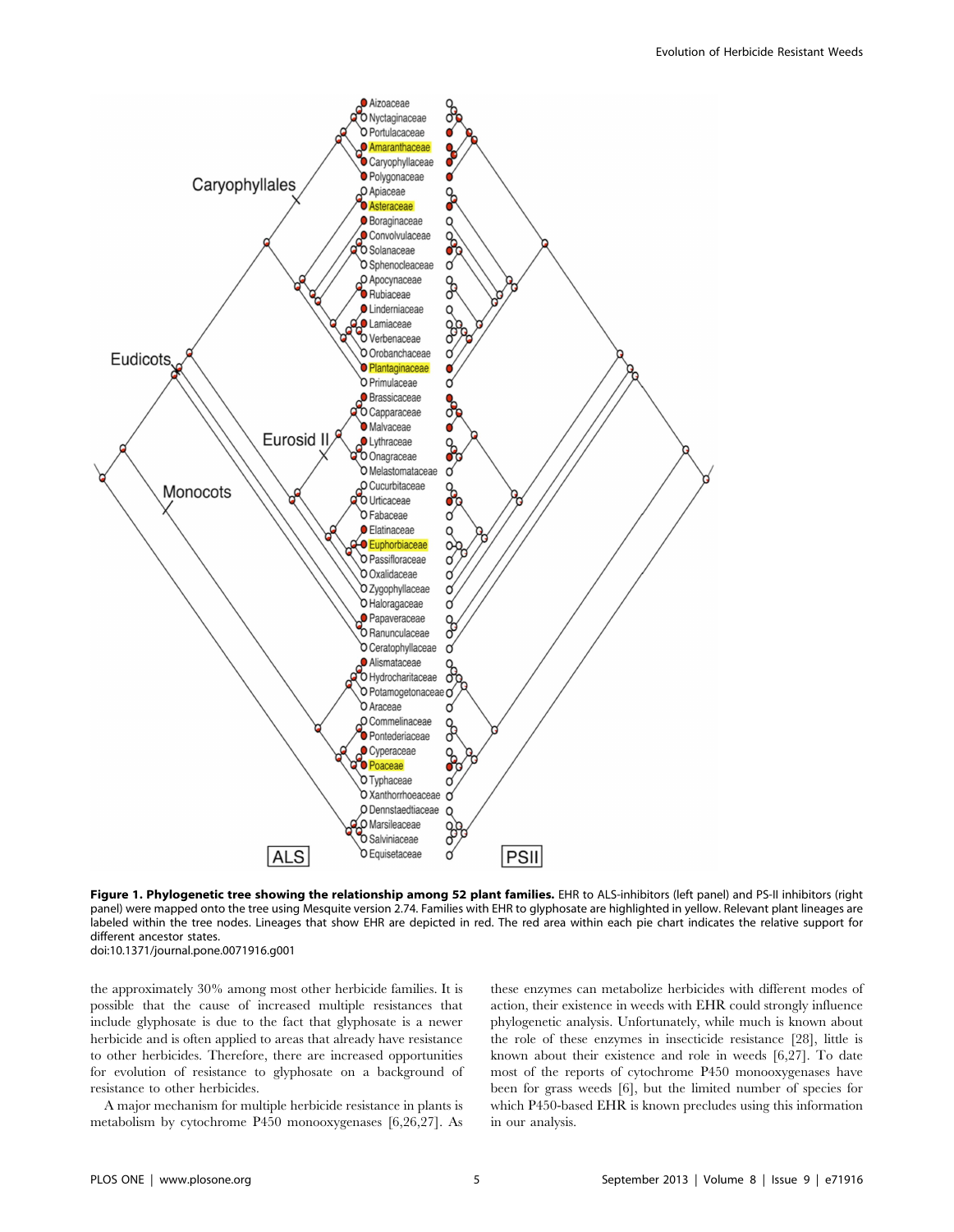

Figure 1. Phylogenetic tree showing the relationship among 52 plant families. EHR to ALS-inhibitors (left panel) and PS-II inhibitors (right panel) were mapped onto the tree using Mesquite version 2.74. Families with EHR to glyphosate are highlighted in yellow. Relevant plant lineages are labeled within the tree nodes. Lineages that show EHR are depicted in red. The red area within each pie chart indicates the relative support for different ancestor states.

doi:10.1371/journal.pone.0071916.g001

the approximately 30% among most other herbicide families. It is possible that the cause of increased multiple resistances that include glyphosate is due to the fact that glyphosate is a newer herbicide and is often applied to areas that already have resistance to other herbicides. Therefore, there are increased opportunities for evolution of resistance to glyphosate on a background of resistance to other herbicides.

A major mechanism for multiple herbicide resistance in plants is metabolism by cytochrome P450 monooxygenases [6,26,27]. As these enzymes can metabolize herbicides with different modes of action, their existence in weeds with EHR could strongly influence phylogenetic analysis. Unfortunately, while much is known about the role of these enzymes in insecticide resistance [28], little is known about their existence and role in weeds [6,27]. To date most of the reports of cytochrome P450 monooxygenases have been for grass weeds [6], but the limited number of species for which P450-based EHR is known precludes using this information in our analysis.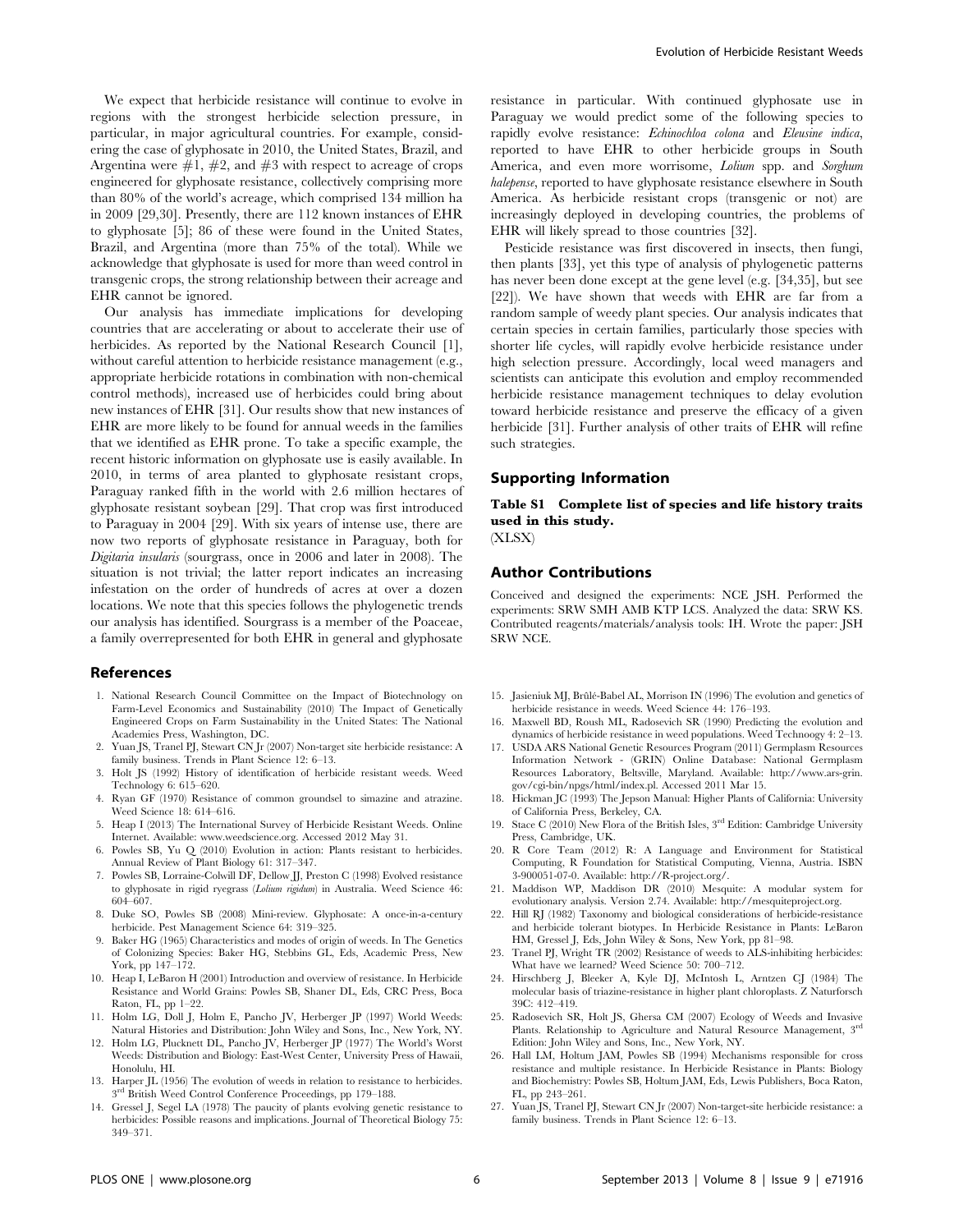We expect that herbicide resistance will continue to evolve in regions with the strongest herbicide selection pressure, in particular, in major agricultural countries. For example, considering the case of glyphosate in 2010, the United States, Brazil, and Argentina were  $\#1$ ,  $\#2$ , and  $\#3$  with respect to acreage of crops engineered for glyphosate resistance, collectively comprising more than 80% of the world's acreage, which comprised 134 million ha in 2009 [29,30]. Presently, there are 112 known instances of EHR to glyphosate [5]; 86 of these were found in the United States, Brazil, and Argentina (more than 75% of the total). While we acknowledge that glyphosate is used for more than weed control in transgenic crops, the strong relationship between their acreage and EHR cannot be ignored.

Our analysis has immediate implications for developing countries that are accelerating or about to accelerate their use of herbicides. As reported by the National Research Council [1], without careful attention to herbicide resistance management (e.g., appropriate herbicide rotations in combination with non-chemical control methods), increased use of herbicides could bring about new instances of EHR [31]. Our results show that new instances of EHR are more likely to be found for annual weeds in the families that we identified as EHR prone. To take a specific example, the recent historic information on glyphosate use is easily available. In 2010, in terms of area planted to glyphosate resistant crops, Paraguay ranked fifth in the world with 2.6 million hectares of glyphosate resistant soybean [29]. That crop was first introduced to Paraguay in 2004 [29]. With six years of intense use, there are now two reports of glyphosate resistance in Paraguay, both for Digitaria insularis (sourgrass, once in 2006 and later in 2008). The situation is not trivial; the latter report indicates an increasing infestation on the order of hundreds of acres at over a dozen locations. We note that this species follows the phylogenetic trends our analysis has identified. Sourgrass is a member of the Poaceae, a family overrepresented for both EHR in general and glyphosate

#### References

- 1. National Research Council Committee on the Impact of Biotechnology on Farm-Level Economics and Sustainability (2010) The Impact of Genetically Engineered Crops on Farm Sustainability in the United States: The National Academies Press, Washington, DC.
- 2. Yuan JS, Tranel PJ, Stewart CN Jr (2007) Non-target site herbicide resistance: A family business. Trends in Plant Science 12: 6–13.
- 3. Holt JS (1992) History of identification of herbicide resistant weeds. Weed Technology 6: 615–620.
- 4. Ryan GF (1970) Resistance of common groundsel to simazine and atrazine. Weed Science 18: 614–616.
- 5. Heap I (2013) The International Survey of Herbicide Resistant Weeds. Online Internet. Available: www.weedscience.org. Accessed 2012 May 31.
- 6. Powles SB, Yu Q (2010) Evolution in action: Plants resistant to herbicides. Annual Review of Plant Biology 61: 317–347.
- 7. Powles SB, Lorraine-Colwill DF, Dellow JJ, Preston C (1998) Evolved resistance to glyphosate in rigid ryegrass (Lolium rigidum) in Australia. Weed Science 46: 604–607.
- 8. Duke SO, Powles SB (2008) Mini-review. Glyphosate: A once-in-a-century herbicide. Pest Management Science 64: 319–325.
- 9. Baker HG (1965) Characteristics and modes of origin of weeds. In The Genetics of Colonizing Species: Baker HG, Stebbins GL, Eds, Academic Press, New York, pp 147–172.
- 10. Heap I, LeBaron H (2001) Introduction and overview of resistance. In Herbicide Resistance and World Grains: Powles SB, Shaner DL, Eds, CRC Press, Boca Raton, FL, pp 1–22.
- 11. Holm LG, Doll J, Holm E, Pancho JV, Herberger JP (1997) World Weeds: Natural Histories and Distribution: John Wiley and Sons, Inc., New York, NY.
- 12. Holm LG, Plucknett DL, Pancho JV, Herberger JP (1977) The World's Worst Weeds: Distribution and Biology: East-West Center, University Press of Hawaii, Honolulu, HI.
- 13. Harper JL (1956) The evolution of weeds in relation to resistance to herbicides. 3rd British Weed Control Conference Proceedings, pp 179–188.
- 14. Gressel J, Segel LA (1978) The paucity of plants evolving genetic resistance to herbicides: Possible reasons and implications. Journal of Theoretical Biology 75: 349–371.

resistance in particular. With continued glyphosate use in Paraguay we would predict some of the following species to rapidly evolve resistance: Echinochloa colona and Eleusine indica, reported to have EHR to other herbicide groups in South America, and even more worrisome, Lolium spp. and Sorghum halepense, reported to have glyphosate resistance elsewhere in South America. As herbicide resistant crops (transgenic or not) are increasingly deployed in developing countries, the problems of EHR will likely spread to those countries [32].

Pesticide resistance was first discovered in insects, then fungi, then plants [33], yet this type of analysis of phylogenetic patterns has never been done except at the gene level (e.g. [34,35], but see [22]). We have shown that weeds with EHR are far from a random sample of weedy plant species. Our analysis indicates that certain species in certain families, particularly those species with shorter life cycles, will rapidly evolve herbicide resistance under high selection pressure. Accordingly, local weed managers and scientists can anticipate this evolution and employ recommended herbicide resistance management techniques to delay evolution toward herbicide resistance and preserve the efficacy of a given herbicide [31]. Further analysis of other traits of EHR will refine such strategies.

## Supporting Information

Table S1 Complete list of species and life history traits used in this study.

(XLSX)

#### Author Contributions

Conceived and designed the experiments: NCE JSH. Performed the experiments: SRW SMH AMB KTP LCS. Analyzed the data: SRW KS. Contributed reagents/materials/analysis tools: IH. Wrote the paper: JSH SRW NCE.

- 15. Jasieniuk MJ, Brûlé-Babel AL, Morrison IN (1996) The evolution and genetics of herbicide resistance in weeds. Weed Science 44: 176–193.
- 16. Maxwell BD, Roush ML, Radosevich SR (1990) Predicting the evolution and dynamics of herbicide resistance in weed populations. Weed Technoogy 4: 2–13.
- 17. USDA ARS National Genetic Resources Program (2011) Germplasm Resources Information Network - (GRIN) Online Database: National Germplasm Resources Laboratory, Beltsville, Maryland. Available: http://www.ars-grin. gov/cgi-bin/npgs/html/index.pl. Accessed 2011 Mar 15.
- 18. Hickman JC (1993) The Jepson Manual: Higher Plants of California: University of California Press, Berkeley, CA.
- 19. Stace C (2010) New Flora of the British Isles, 3rd Edition: Cambridge University Press, Cambridge, UK.
- 20. R Core Team (2012) R: A Language and Environment for Statistical Computing, R Foundation for Statistical Computing, Vienna, Austria. ISBN 3-900051-07-0. Available: http://R-project.org/.
- 21. Maddison WP, Maddison DR (2010) Mesquite: A modular system for evolutionary analysis. Version 2.74. Available: http://mesquiteproject.org.
- 22. Hill RJ (1982) Taxonomy and biological considerations of herbicide-resistance and herbicide tolerant biotypes. In Herbicide Resistance in Plants: LeBaron HM, Gressel J, Eds, John Wiley & Sons, New York, pp 81–98.
- 23. Tranel PJ, Wright TR (2002) Resistance of weeds to ALS-inhibiting herbicides: What have we learned? Weed Science 50: 700–712.
- 24. Hirschberg J, Bleeker A, Kyle DJ, McIntosh L, Arntzen CJ (1984) The molecular basis of triazine-resistance in higher plant chloroplasts. Z Naturforsch 39C: 412–419.
- 25. Radosevich SR, Holt JS, Ghersa CM (2007) Ecology of Weeds and Invasive Plants. Relationship to Agriculture and Natural Resource Management, 3rd Edition: John Wiley and Sons, Inc., New York, NY.
- 26. Hall LM, Holtum JAM, Powles SB (1994) Mechanisms responsible for cross resistance and multiple resistance. In Herbicide Resistance in Plants: Biology and Biochemistry: Powles SB, Holtum JAM, Eds, Lewis Publishers, Boca Raton, FL, pp 243–261.
- 27. Yuan JS, Tranel PJ, Stewart CN Jr (2007) Non-target-site herbicide resistance: a family business. Trends in Plant Science 12: 6–13.